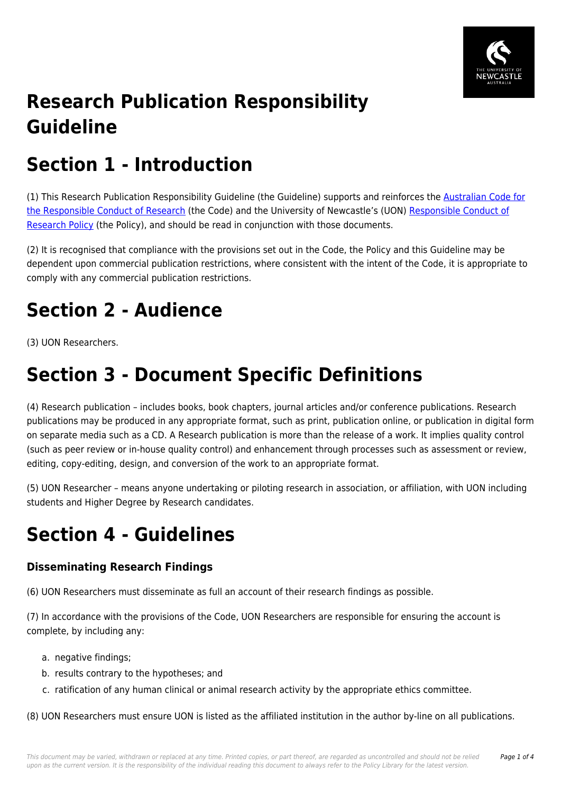

# **Research Publication Responsibility Guideline**

# **Section 1 - Introduction**

(1) This Research Publication Responsibility Guideline (the Guideline) supports and reinforces the **[Australian Code for](https://policies.newcastle.edu.au/directory-summary.php?code=3)** [the Responsible Conduct of Research](https://policies.newcastle.edu.au/directory-summary.php?code=3) (the Code) and the University of Newcastle's (UON) [Responsible Conduct of](https://policies.newcastle.edu.au/document/view-current.php?id=66) [Research Policy](https://policies.newcastle.edu.au/document/view-current.php?id=66) (the Policy), and should be read in conjunction with those documents.

(2) It is recognised that compliance with the provisions set out in the Code, the Policy and this Guideline may be dependent upon commercial publication restrictions, where consistent with the intent of the Code, it is appropriate to comply with any commercial publication restrictions.

# **Section 2 - Audience**

(3) UON Researchers.

## **Section 3 - Document Specific Definitions**

(4) Research publication – includes books, book chapters, journal articles and/or conference publications. Research publications may be produced in any appropriate format, such as print, publication online, or publication in digital form on separate media such as a CD. A Research publication is more than the release of a work. It implies quality control (such as peer review or in-house quality control) and enhancement through processes such as assessment or review, editing, copy-editing, design, and conversion of the work to an appropriate format.

(5) UON Researcher – means anyone undertaking or piloting research in association, or affiliation, with UON including students and Higher Degree by Research candidates.

### **Section 4 - Guidelines**

### **Disseminating Research Findings**

(6) UON Researchers must disseminate as full an account of their research findings as possible.

(7) In accordance with the provisions of the Code, UON Researchers are responsible for ensuring the account is complete, by including any:

- a. negative findings;
- b. results contrary to the hypotheses; and
- c. ratification of any human clinical or animal research activity by the appropriate ethics committee.

(8) UON Researchers must ensure UON is listed as the affiliated institution in the author by-line on all publications.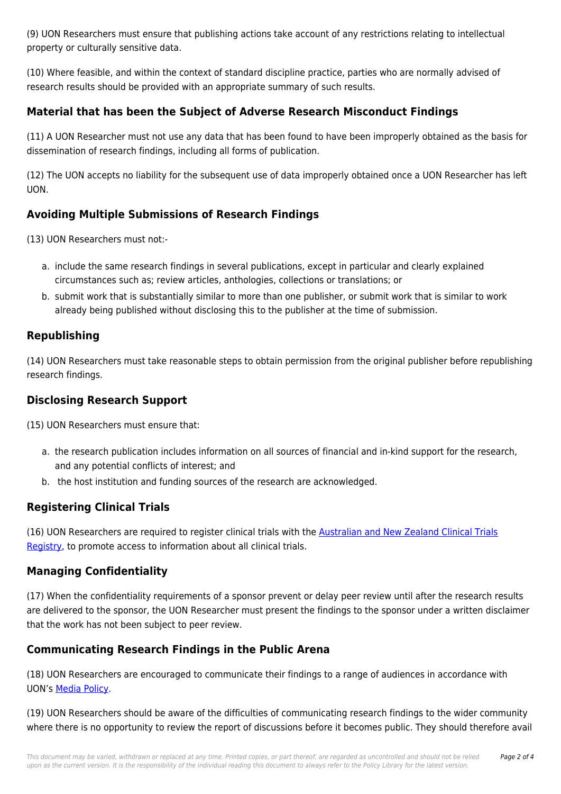(9) UON Researchers must ensure that publishing actions take account of any restrictions relating to intellectual property or culturally sensitive data.

(10) Where feasible, and within the context of standard discipline practice, parties who are normally advised of research results should be provided with an appropriate summary of such results.

### **Material that has been the Subject of Adverse Research Misconduct Findings**

(11) A UON Researcher must not use any data that has been found to have been improperly obtained as the basis for dissemination of research findings, including all forms of publication.

(12) The UON accepts no liability for the subsequent use of data improperly obtained once a UON Researcher has left UON.

### **Avoiding Multiple Submissions of Research Findings**

(13) UON Researchers must not:-

- a. include the same research findings in several publications, except in particular and clearly explained circumstances such as; review articles, anthologies, collections or translations; or
- b. submit work that is substantially similar to more than one publisher, or submit work that is similar to work already being published without disclosing this to the publisher at the time of submission.

#### **Republishing**

(14) UON Researchers must take reasonable steps to obtain permission from the original publisher before republishing research findings.

### **Disclosing Research Support**

(15) UON Researchers must ensure that:

- a. the research publication includes information on all sources of financial and in-kind support for the research, and any potential conflicts of interest; and
- b. the host institution and funding sources of the research are acknowledged.

### **Registering Clinical Trials**

(16) UON Researchers are required to register clinical trials with the [Australian and New Zealand Clinical Trials](https://policies.newcastle.edu.au/download.php?id=73&version=1&associated) [Registry,](https://policies.newcastle.edu.au/download.php?id=73&version=1&associated) to promote access to information about all clinical trials.

#### **Managing Confidentiality**

(17) When the confidentiality requirements of a sponsor prevent or delay peer review until after the research results are delivered to the sponsor, the UON Researcher must present the findings to the sponsor under a written disclaimer that the work has not been subject to peer review.

### **Communicating Research Findings in the Public Arena**

(18) UON Researchers are encouraged to communicate their findings to a range of audiences in accordance with UON's [Media Policy](https://policies.newcastle.edu.au/document/view-current.php?id=107).

(19) UON Researchers should be aware of the difficulties of communicating research findings to the wider community where there is no opportunity to review the report of discussions before it becomes public. They should therefore avail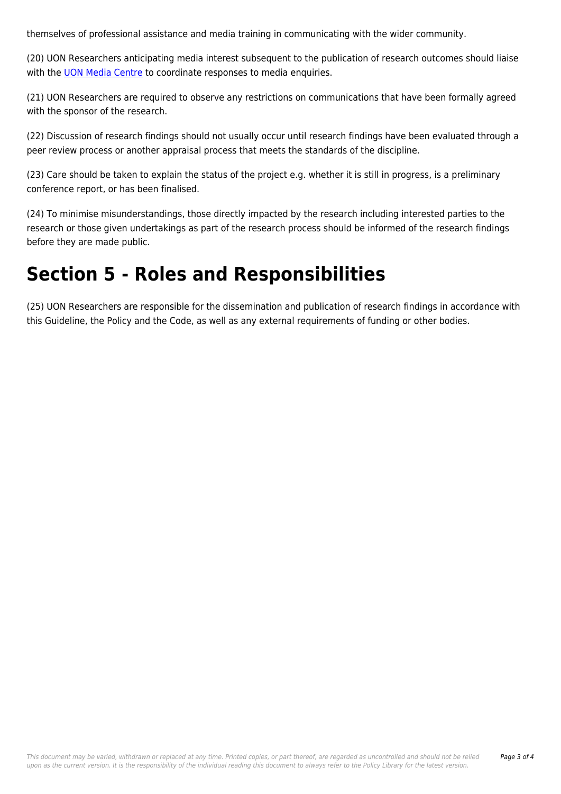themselves of professional assistance and media training in communicating with the wider community.

(20) UON Researchers anticipating media interest subsequent to the publication of research outcomes should liaise with the **[UON Media Centre](https://policies.newcastle.edu.au/download.php?id=410&version=2&associated)** to coordinate responses to media enquiries.

(21) UON Researchers are required to observe any restrictions on communications that have been formally agreed with the sponsor of the research.

(22) Discussion of research findings should not usually occur until research findings have been evaluated through a peer review process or another appraisal process that meets the standards of the discipline.

(23) Care should be taken to explain the status of the project e.g. whether it is still in progress, is a preliminary conference report, or has been finalised.

(24) To minimise misunderstandings, those directly impacted by the research including interested parties to the research or those given undertakings as part of the research process should be informed of the research findings before they are made public.

## **Section 5 - Roles and Responsibilities**

(25) UON Researchers are responsible for the dissemination and publication of research findings in accordance with this Guideline, the Policy and the Code, as well as any external requirements of funding or other bodies.